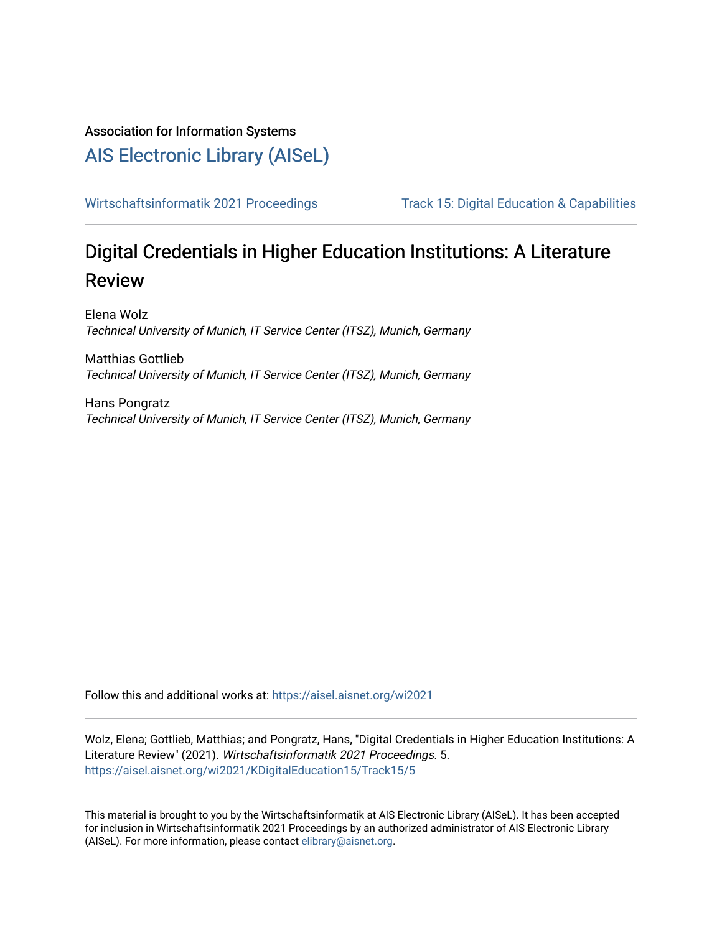Association for Information Systems

# [AIS Electronic Library \(AISeL\)](https://aisel.aisnet.org/)

[Wirtschaftsinformatik 2021 Proceedings](https://aisel.aisnet.org/wi2021) Track 15: Digital Education & Capabilities

# Digital Credentials in Higher Education Institutions: A Literature Review

Elena Wolz Technical University of Munich, IT Service Center (ITSZ), Munich, Germany

Matthias Gottlieb Technical University of Munich, IT Service Center (ITSZ), Munich, Germany

Hans Pongratz Technical University of Munich, IT Service Center (ITSZ), Munich, Germany

Follow this and additional works at: [https://aisel.aisnet.org/wi2021](https://aisel.aisnet.org/wi2021?utm_source=aisel.aisnet.org%2Fwi2021%2FKDigitalEducation15%2FTrack15%2F5&utm_medium=PDF&utm_campaign=PDFCoverPages) 

Wolz, Elena; Gottlieb, Matthias; and Pongratz, Hans, "Digital Credentials in Higher Education Institutions: A Literature Review" (2021). Wirtschaftsinformatik 2021 Proceedings. 5. [https://aisel.aisnet.org/wi2021/KDigitalEducation15/Track15/5](https://aisel.aisnet.org/wi2021/KDigitalEducation15/Track15/5?utm_source=aisel.aisnet.org%2Fwi2021%2FKDigitalEducation15%2FTrack15%2F5&utm_medium=PDF&utm_campaign=PDFCoverPages)

This material is brought to you by the Wirtschaftsinformatik at AIS Electronic Library (AISeL). It has been accepted for inclusion in Wirtschaftsinformatik 2021 Proceedings by an authorized administrator of AIS Electronic Library (AISeL). For more information, please contact [elibrary@aisnet.org](mailto:elibrary@aisnet.org%3E).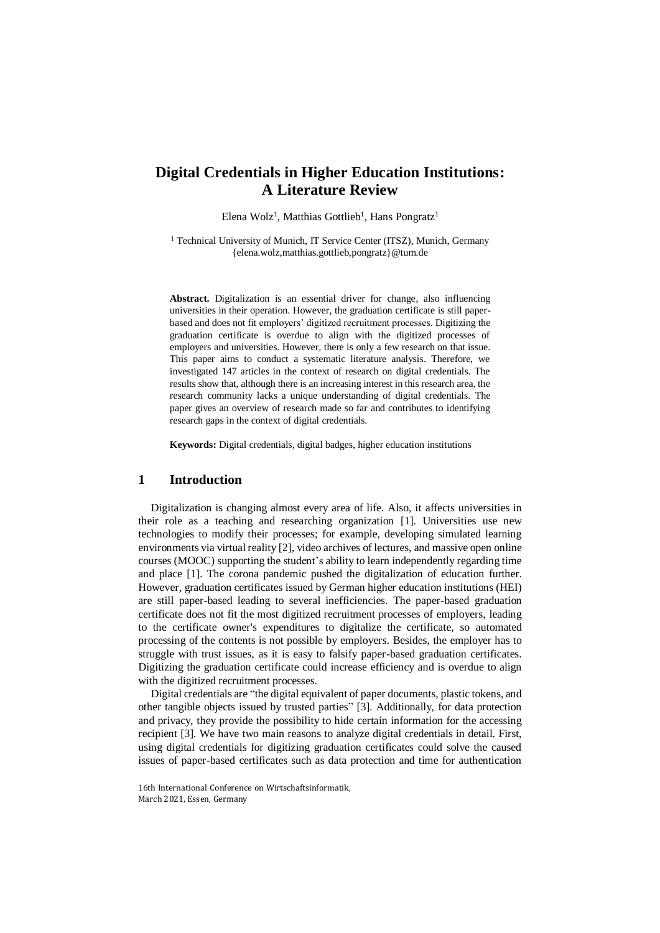# **Digital Credentials in Higher Education Institutions: A Literature Review**

Elena Wolz<sup>1</sup>, Matthias Gottlieb<sup>1</sup>, Hans Pongratz<sup>1</sup>

<sup>1</sup> Technical University of Munich, IT Service Center (ITSZ), Munich, Germany [{elena.wolz,matthias.gottlieb,pongratz}@tum.de](mailto:elena.wolz%7Cmatthias.gottlieb%7Cpongratz%7d@tum.de)

**Abstract.** Digitalization is an essential driver for change, also influencing universities in their operation. However, the graduation certificate is still paperbased and does not fit employers' digitized recruitment processes. Digitizing the graduation certificate is overdue to align with the digitized processes of employers and universities. However, there is only a few research on that issue. This paper aims to conduct a systematic literature analysis. Therefore, we investigated 147 articles in the context of research on digital credentials. The results show that, although there is an increasing interest in this research area, the research community lacks a unique understanding of digital credentials. The paper gives an overview of research made so far and contributes to identifying research gaps in the context of digital credentials.

**Keywords:** Digital credentials, digital badges, higher education institutions

## **1 Introduction**

Digitalization is changing almost every area of life. Also, it affects universities in their role as a teaching and researching organization [1]. Universities use new technologies to modify their processes; for example, developing simulated learning environments via virtual reality [2], video archives of lectures, and massive open online courses (MOOC) supporting the student's ability to learn independently regarding time and place [1]. The corona pandemic pushed the digitalization of education further. However, graduation certificates issued by German higher education institutions (HEI) are still paper-based leading to several inefficiencies. The paper-based graduation certificate does not fit the most digitized recruitment processes of employers, leading to the certificate owner's expenditures to digitalize the certificate, so automated processing of the contents is not possible by employers. Besides, the employer has to struggle with trust issues, as it is easy to falsify paper-based graduation certificates. Digitizing the graduation certificate could increase efficiency and is overdue to align with the digitized recruitment processes.

Digital credentials are "the digital equivalent of paper documents, plastic tokens, and other tangible objects issued by trusted parties" [3]. Additionally, for data protection and privacy, they provide the possibility to hide certain information for the accessing recipient [3]. We have two main reasons to analyze digital credentials in detail. First, using digital credentials for digitizing graduation certificates could solve the caused issues of paper-based certificates such as data protection and time for authentication

<sup>16</sup>th International Conference on Wirtschaftsinformatik, March 2021, Essen, Germany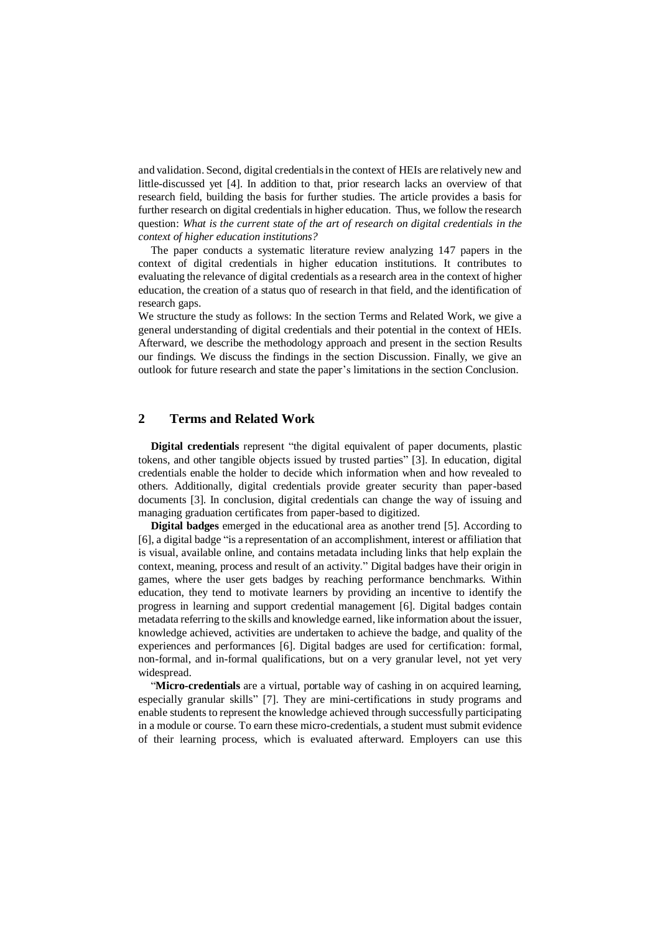and validation. Second, digital credentials in the context of HEIs are relatively new and little-discussed yet [4]. In addition to that, prior research lacks an overview of that research field, building the basis for further studies. The article provides a basis for further research on digital credentials in higher education. Thus, we follow the research question: *What is the current state of the art of research on digital credentials in the context of higher education institutions?*

The paper conducts a systematic literature review analyzing 147 papers in the context of digital credentials in higher education institutions. It contributes to evaluating the relevance of digital credentials as a research area in the context of higher education, the creation of a status quo of research in that field, and the identification of research gaps.

We structure the study as follows: In the section Terms and Related Work, we give a general understanding of digital credentials and their potential in the context of HEIs. Afterward, we describe the methodology approach and present in the section Results our findings. We discuss the findings in the section Discussion. Finally, we give an outlook for future research and state the paper's limitations in the section Conclusion.

## **2 Terms and Related Work**

**Digital credentials** represent "the digital equivalent of paper documents, plastic tokens, and other tangible objects issued by trusted parties" [3]. In education, digital credentials enable the holder to decide which information when and how revealed to others. Additionally, digital credentials provide greater security than paper-based documents [3]. In conclusion, digital credentials can change the way of issuing and managing graduation certificates from paper-based to digitized.

**Digital badges** emerged in the educational area as another trend [5]. According to [6], a digital badge "is a representation of an accomplishment, interest or affiliation that is visual, available online, and contains metadata including links that help explain the context, meaning, process and result of an activity." Digital badges have their origin in games, where the user gets badges by reaching performance benchmarks. Within education, they tend to motivate learners by providing an incentive to identify the progress in learning and support credential management [6]. Digital badges contain metadata referring to the skills and knowledge earned, like information about the issuer, knowledge achieved, activities are undertaken to achieve the badge, and quality of the experiences and performances [6]. Digital badges are used for certification: formal, non-formal, and in-formal qualifications, but on a very granular level, not yet very widespread.

"**Micro-credentials** are a virtual, portable way of cashing in on acquired learning, especially granular skills" [7]. They are mini-certifications in study programs and enable students to represent the knowledge achieved through successfully participating in a module or course. To earn these micro-credentials, a student must submit evidence of their learning process, which is evaluated afterward. Employers can use this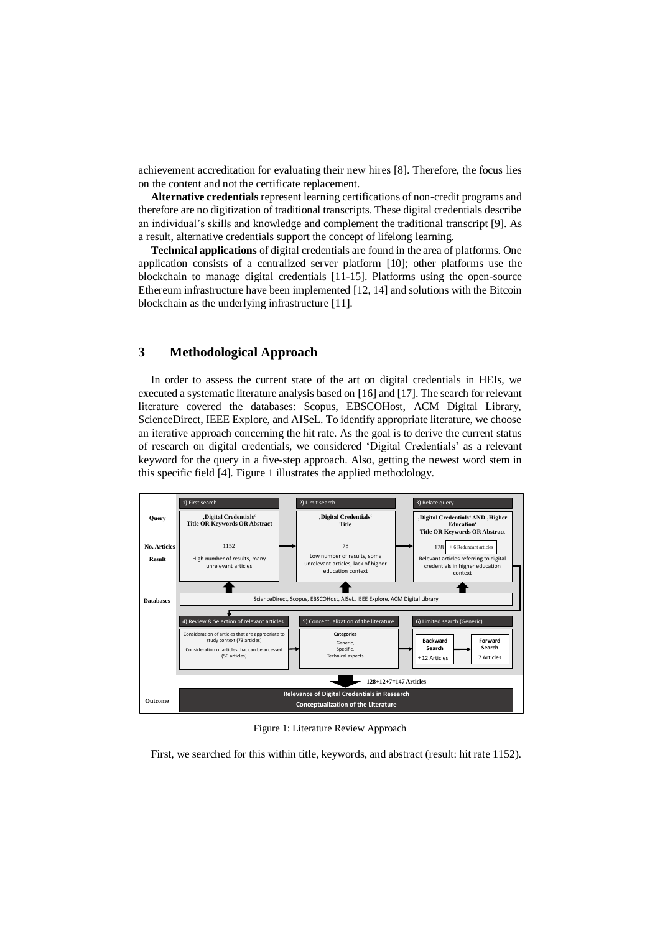achievement accreditation for evaluating their new hires [8]. Therefore, the focus lies on the content and not the certificate replacement.

**Alternative credentials** represent learning certifications of non-credit programs and therefore are no digitization of traditional transcripts. These digital credentials describe an individual's skills and knowledge and complement the traditional transcript [9]. As a result, alternative credentials support the concept of lifelong learning.

**Technical applications** of digital credentials are found in the area of platforms. One application consists of a centralized server platform [10]; other platforms use the blockchain to manage digital credentials [11-15]. Platforms using the open-source Ethereum infrastructure have been implemented [12, 14] and solutions with the Bitcoin blockchain as the underlying infrastructure [11].

## **3 Methodological Approach**

In order to assess the current state of the art on digital credentials in HEIs, we executed a systematic literature analysis based on [16] and [17]. The search for relevant literature covered the databases: Scopus, EBSCOHost, ACM Digital Library, ScienceDirect, IEEE Explore, and AISeL. To identify appropriate literature, we choose an iterative approach concerning the hit rate. As the goal is to derive the current status of research on digital credentials, we considered 'Digital Credentials' as a relevant keyword for the query in a five-step approach. Also, getting the newest word stem in this specific field [4]. Figure 1 illustrates the applied methodology.



Figure 1: Literature Review Approach

First, we searched for this within title, keywords, and abstract (result: hit rate 1152).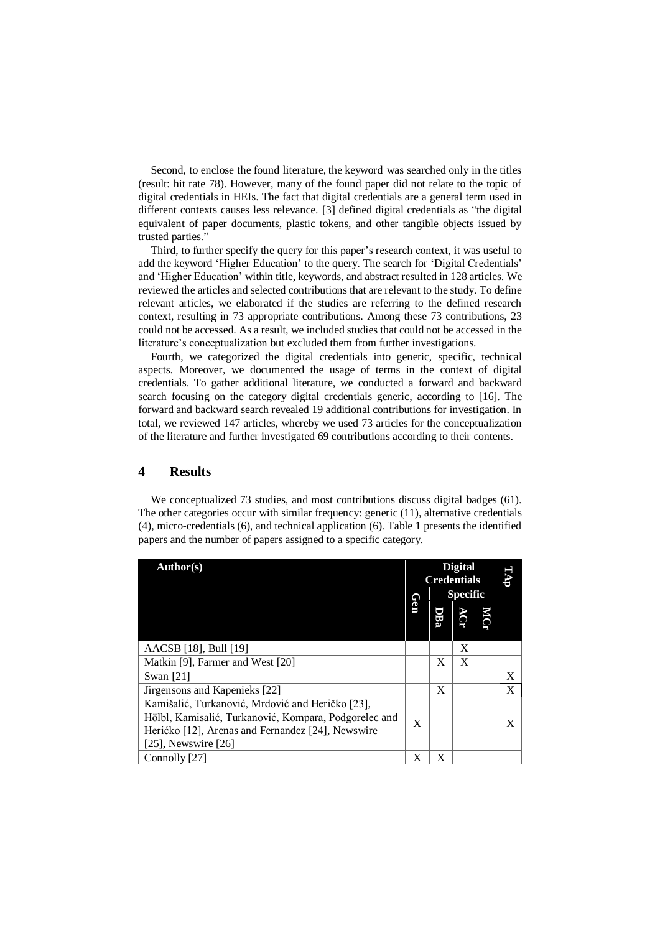Second, to enclose the found literature, the keyword was searched only in the titles (result: hit rate 78). However, many of the found paper did not relate to the topic of digital credentials in HEIs. The fact that digital credentials are a general term used in different contexts causes less relevance. [3] defined digital credentials as "the digital equivalent of paper documents, plastic tokens, and other tangible objects issued by trusted parties."

Third, to further specify the query for this paper's research context, it was useful to add the keyword 'Higher Education' to the query. The search for 'Digital Credentials' and 'Higher Education' within title, keywords, and abstract resulted in 128 articles. We reviewed the articles and selected contributions that are relevant to the study. To define relevant articles, we elaborated if the studies are referring to the defined research context, resulting in 73 appropriate contributions. Among these 73 contributions, 23 could not be accessed. As a result, we included studies that could not be accessed in the literature's conceptualization but excluded them from further investigations.

Fourth, we categorized the digital credentials into generic, specific, technical aspects. Moreover, we documented the usage of terms in the context of digital credentials. To gather additional literature, we conducted a forward and backward search focusing on the category digital credentials generic, according to [16]. The forward and backward search revealed 19 additional contributions for investigation. In total, we reviewed 147 articles, whereby we used 73 articles for the conceptualization of the literature and further investigated 69 contributions according to their contents.

## **4 Results**

We conceptualized 73 studies, and most contributions discuss digital badges (61). The other categories occur with similar frequency: generic (11), alternative credentials (4), micro-credentials (6), and technical application (6). Table 1 presents the identified papers and the number of papers assigned to a specific category.

| Author(s)                                                                                                                                                                                  |          | <b>Digital</b><br><b>Credentials</b><br><b>Specific</b> |   |            | <b>IIAT</b> |
|--------------------------------------------------------------------------------------------------------------------------------------------------------------------------------------------|----------|---------------------------------------------------------|---|------------|-------------|
|                                                                                                                                                                                            | <b>e</b> |                                                         |   | <b>NCT</b> |             |
| AACSB [18], Bull [19]                                                                                                                                                                      |          |                                                         | X |            |             |
| Matkin [9], Farmer and West [20]                                                                                                                                                           |          | X                                                       | X |            |             |
| Swan $[21]$                                                                                                                                                                                |          |                                                         |   |            | X           |
| Jirgensons and Kapenieks [22]                                                                                                                                                              |          | X                                                       |   |            | X           |
| Kamišalić, Turkanović, Mrdović and Heričko [23],<br>Hölbl, Kamisalić, Turkanović, Kompara, Podgorelec and<br>Herićko [12], Arenas and Fernandez [24], Newswire<br>$[25]$ , Newswire $[26]$ | X        |                                                         |   |            | X           |
| Connolly [27]                                                                                                                                                                              | X        | X                                                       |   |            |             |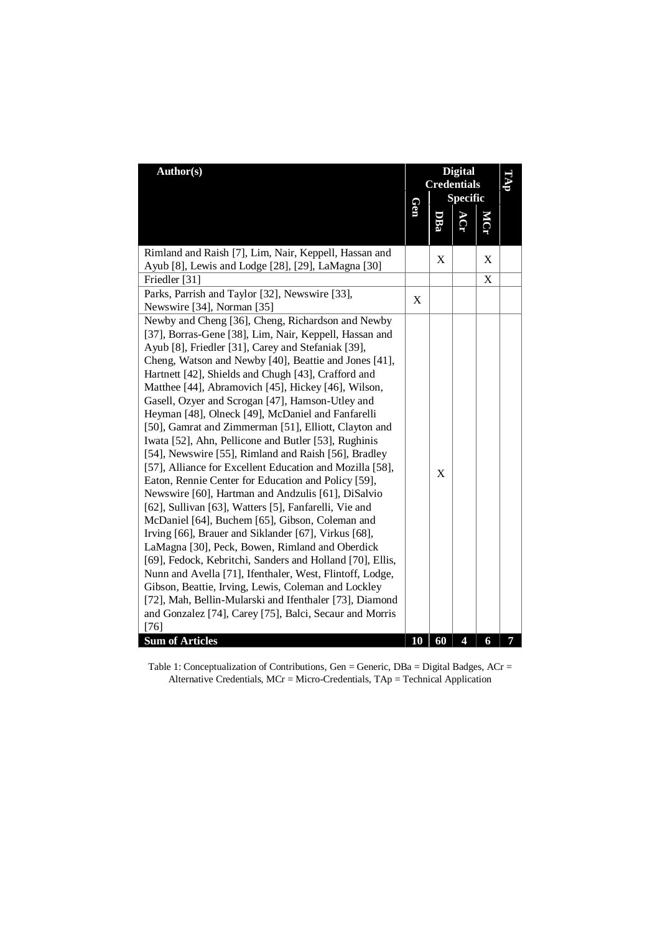| Author(s)                                                                                                                                                                                                                                                                                                                                                                                                                                                                                                                                                                                                                                                                                                                                                                                                                                                                                                                                                                                                                                                                                                                                                                                                                                                                                                                                  | Gen         | <b>Digital</b><br><b>Credentials</b><br><b>Specific</b> |                         |   |   |
|--------------------------------------------------------------------------------------------------------------------------------------------------------------------------------------------------------------------------------------------------------------------------------------------------------------------------------------------------------------------------------------------------------------------------------------------------------------------------------------------------------------------------------------------------------------------------------------------------------------------------------------------------------------------------------------------------------------------------------------------------------------------------------------------------------------------------------------------------------------------------------------------------------------------------------------------------------------------------------------------------------------------------------------------------------------------------------------------------------------------------------------------------------------------------------------------------------------------------------------------------------------------------------------------------------------------------------------------|-------------|---------------------------------------------------------|-------------------------|---|---|
|                                                                                                                                                                                                                                                                                                                                                                                                                                                                                                                                                                                                                                                                                                                                                                                                                                                                                                                                                                                                                                                                                                                                                                                                                                                                                                                                            |             | DBa                                                     |                         |   |   |
| Rimland and Raish [7], Lim, Nair, Keppell, Hassan and                                                                                                                                                                                                                                                                                                                                                                                                                                                                                                                                                                                                                                                                                                                                                                                                                                                                                                                                                                                                                                                                                                                                                                                                                                                                                      |             | X                                                       |                         | X |   |
| Ayub [8], Lewis and Lodge [28], [29], LaMagna [30]                                                                                                                                                                                                                                                                                                                                                                                                                                                                                                                                                                                                                                                                                                                                                                                                                                                                                                                                                                                                                                                                                                                                                                                                                                                                                         |             |                                                         |                         |   |   |
| Friedler [31]                                                                                                                                                                                                                                                                                                                                                                                                                                                                                                                                                                                                                                                                                                                                                                                                                                                                                                                                                                                                                                                                                                                                                                                                                                                                                                                              |             |                                                         |                         | X |   |
| Parks, Parrish and Taylor [32], Newswire [33],                                                                                                                                                                                                                                                                                                                                                                                                                                                                                                                                                                                                                                                                                                                                                                                                                                                                                                                                                                                                                                                                                                                                                                                                                                                                                             | $\mathbf X$ |                                                         |                         |   |   |
| Newswire [34], Norman [35]                                                                                                                                                                                                                                                                                                                                                                                                                                                                                                                                                                                                                                                                                                                                                                                                                                                                                                                                                                                                                                                                                                                                                                                                                                                                                                                 |             |                                                         |                         |   |   |
| Newby and Cheng [36], Cheng, Richardson and Newby<br>[37], Borras-Gene [38], Lim, Nair, Keppell, Hassan and<br>Ayub [8], Friedler [31], Carey and Stefaniak [39],<br>Cheng, Watson and Newby [40], Beattie and Jones [41],<br>Hartnett [42], Shields and Chugh [43], Crafford and<br>Matthee [44], Abramovich [45], Hickey [46], Wilson,<br>Gasell, Ozyer and Scrogan [47], Hamson-Utley and<br>Heyman [48], Olneck [49], McDaniel and Fanfarelli<br>[50], Gamrat and Zimmerman [51], Elliott, Clayton and<br>Iwata [52], Ahn, Pellicone and Butler [53], Rughinis<br>[54], Newswire [55], Rimland and Raish [56], Bradley<br>[57], Alliance for Excellent Education and Mozilla [58],<br>Eaton, Rennie Center for Education and Policy [59],<br>Newswire [60], Hartman and Andzulis [61], DiSalvio<br>[62], Sullivan [63], Watters [5], Fanfarelli, Vie and<br>McDaniel [64], Buchem [65], Gibson, Coleman and<br>Irving [66], Brauer and Siklander [67], Virkus [68],<br>LaMagna [30], Peck, Bowen, Rimland and Oberdick<br>[69], Fedock, Kebritchi, Sanders and Holland [70], Ellis,<br>Nunn and Avella [71], Ifenthaler, West, Flintoff, Lodge,<br>Gibson, Beattie, Irving, Lewis, Coleman and Lockley<br>[72], Mah, Bellin-Mularski and Ifenthaler [73], Diamond<br>and Gonzalez [74], Carey [75], Balci, Secaur and Morris<br>$[76]$ |             | X                                                       |                         |   |   |
| <b>Sum of Articles</b>                                                                                                                                                                                                                                                                                                                                                                                                                                                                                                                                                                                                                                                                                                                                                                                                                                                                                                                                                                                                                                                                                                                                                                                                                                                                                                                     | 10          | 60                                                      | $\overline{\mathbf{4}}$ | 6 | 7 |

Table 1: Conceptualization of Contributions, Gen = Generic, DBa = Digital Badges, ACr = Alternative Credentials, MCr = Micro-Credentials, TAp = Technical Application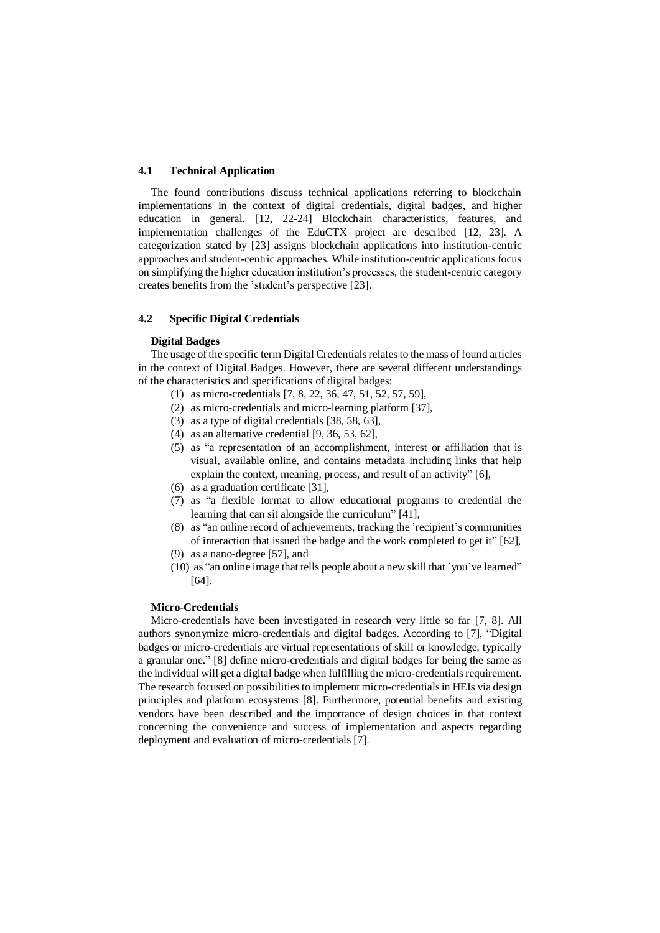### **4.1 Technical Application**

The found contributions discuss technical applications referring to blockchain implementations in the context of digital credentials, digital badges, and higher education in general. [12, 22-24] Blockchain characteristics, features, and implementation challenges of the EduCTX project are described [12, 23]. A categorization stated by [23] assigns blockchain applications into institution-centric approaches and student-centric approaches. While institution-centric applications focus on simplifying the higher education institution's processes, the student-centric category creates benefits from the 'student's perspective [23].

### **4.2 Specific Digital Credentials**

#### **Digital Badges**

The usage of the specific term Digital Credentials relates to the mass of found articles in the context of Digital Badges. However, there are several different understandings of the characteristics and specifications of digital badges:

- (1) as micro-credentials [7, 8, 22, 36, 47, 51, 52, 57, 59],
- (2) as micro-credentials and micro-learning platform [37],
- (3) as a type of digital credentials [38, 58, 63],
- (4) as an alternative credential [9, 36, 53, 62],
- (5) as "a representation of an accomplishment, interest or affiliation that is visual, available online, and contains metadata including links that help explain the context, meaning, process, and result of an activity" [6],
- (6) as a graduation certificate [31],
- (7) as "a flexible format to allow educational programs to credential the learning that can sit alongside the curriculum" [41],
- (8) as "an online record of achievements, tracking the 'recipient's communities of interaction that issued the badge and the work completed to get it" [62],
- (9) as a nano-degree [57], and
- (10) as "an online image that tells people about a new skill that 'you've learned" [64].

## **Micro-Credentials**

Micro-credentials have been investigated in research very little so far [7, 8]. All authors synonymize micro-credentials and digital badges. According to [7], "Digital badges or micro-credentials are virtual representations of skill or knowledge, typically a granular one." [8] define micro-credentials and digital badges for being the same as the individual will get a digital badge when fulfilling the micro-credentials requirement. The research focused on possibilities to implement micro-credentials in HEIs via design principles and platform ecosystems [8]. Furthermore, potential benefits and existing vendors have been described and the importance of design choices in that context concerning the convenience and success of implementation and aspects regarding deployment and evaluation of micro-credentials [7].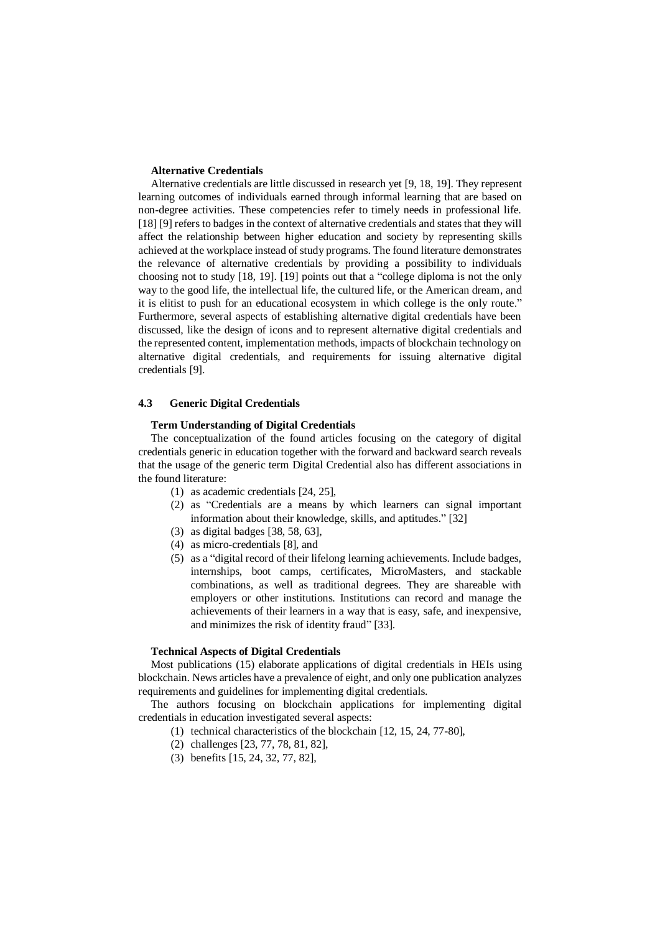### **Alternative Credentials**

Alternative credentials are little discussed in research yet [9, 18, 19]. They represent learning outcomes of individuals earned through informal learning that are based on non-degree activities. These competencies refer to timely needs in professional life. [18] [9] refers to badges in the context of alternative credentials and states that they will affect the relationship between higher education and society by representing skills achieved at the workplace instead of study programs. The found literature demonstrates the relevance of alternative credentials by providing a possibility to individuals choosing not to study [18, 19]. [19] points out that a "college diploma is not the only way to the good life, the intellectual life, the cultured life, or the American dream, and it is elitist to push for an educational ecosystem in which college is the only route." Furthermore, several aspects of establishing alternative digital credentials have been discussed, like the design of icons and to represent alternative digital credentials and the represented content, implementation methods, impacts of blockchain technology on alternative digital credentials, and requirements for issuing alternative digital credentials [9].

#### **4.3 Generic Digital Credentials**

### **Term Understanding of Digital Credentials**

The conceptualization of the found articles focusing on the category of digital credentials generic in education together with the forward and backward search reveals that the usage of the generic term Digital Credential also has different associations in the found literature:

- (1) as academic credentials [24, 25],
- (2) as "Credentials are a means by which learners can signal important information about their knowledge, skills, and aptitudes." [32]
- (3) as digital badges [38, 58, 63],
- (4) as micro-credentials [8], and
- (5) as a "digital record of their lifelong learning achievements. Include badges, internships, boot camps, certificates, MicroMasters, and stackable combinations, as well as traditional degrees. They are shareable with employers or other institutions. Institutions can record and manage the achievements of their learners in a way that is easy, safe, and inexpensive, and minimizes the risk of identity fraud" [33].

## **Technical Aspects of Digital Credentials**

Most publications (15) elaborate applications of digital credentials in HEIs using blockchain. News articles have a prevalence of eight, and only one publication analyzes requirements and guidelines for implementing digital credentials.

The authors focusing on blockchain applications for implementing digital credentials in education investigated several aspects:

- (1) technical characteristics of the blockchain [12, 15, 24, 77-80],
- (2) challenges [23, 77, 78, 81, 82],
- (3) benefits [15, 24, 32, 77, 82],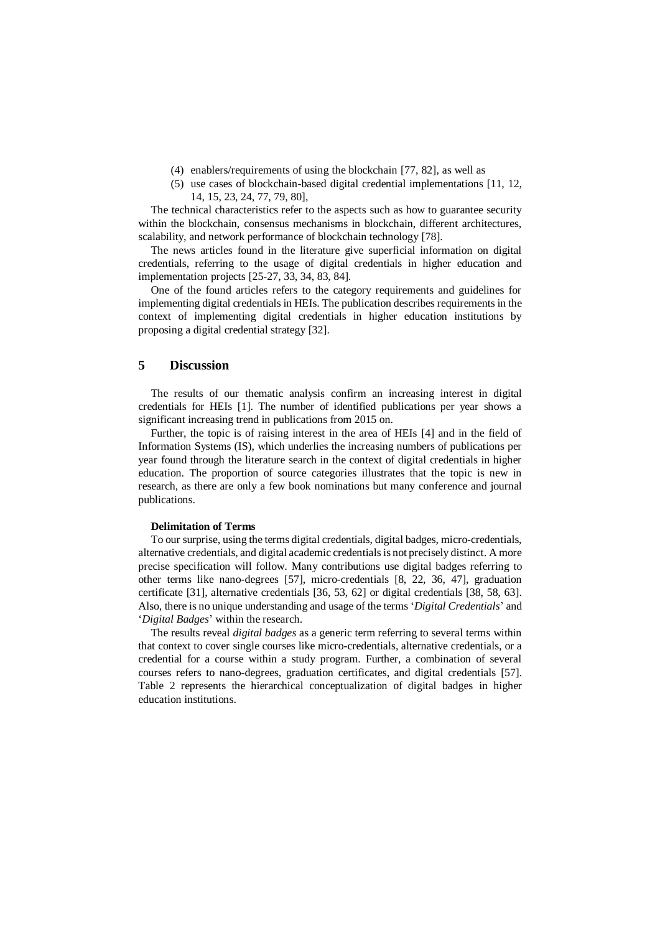- (4) enablers/requirements of using the blockchain [77, 82], as well as
- (5) use cases of blockchain-based digital credential implementations [11, 12, 14, 15, 23, 24, 77, 79, 80],

The technical characteristics refer to the aspects such as how to guarantee security within the blockchain, consensus mechanisms in blockchain, different architectures, scalability, and network performance of blockchain technology [78].

The news articles found in the literature give superficial information on digital credentials, referring to the usage of digital credentials in higher education and implementation projects [25-27, 33, 34, 83, 84].

One of the found articles refers to the category requirements and guidelines for implementing digital credentials in HEIs. The publication describes requirements in the context of implementing digital credentials in higher education institutions by proposing a digital credential strategy [32].

## **5 Discussion**

The results of our thematic analysis confirm an increasing interest in digital credentials for HEIs [1]. The number of identified publications per year shows a significant increasing trend in publications from 2015 on.

Further, the topic is of raising interest in the area of HEIs [4] and in the field of Information Systems (IS), which underlies the increasing numbers of publications per year found through the literature search in the context of digital credentials in higher education. The proportion of source categories illustrates that the topic is new in research, as there are only a few book nominations but many conference and journal publications.

## **Delimitation of Terms**

To our surprise, using the terms digital credentials, digital badges, micro-credentials, alternative credentials, and digital academic credentials is not precisely distinct. A more precise specification will follow. Many contributions use digital badges referring to other terms like nano-degrees [57], micro-credentials [8, 22, 36, 47], graduation certificate [31], alternative credentials [36, 53, 62] or digital credentials [38, 58, 63]. Also, there is no unique understanding and usage of the terms '*Digital Credentials*' and '*Digital Badges*' within the research.

The results reveal *digital badges* as a generic term referring to several terms within that context to cover single courses like micro-credentials, alternative credentials, or a credential for a course within a study program. Further, a combination of several courses refers to nano-degrees, graduation certificates, and digital credentials [57]. Table 2 represents the hierarchical conceptualization of digital badges in higher education institutions.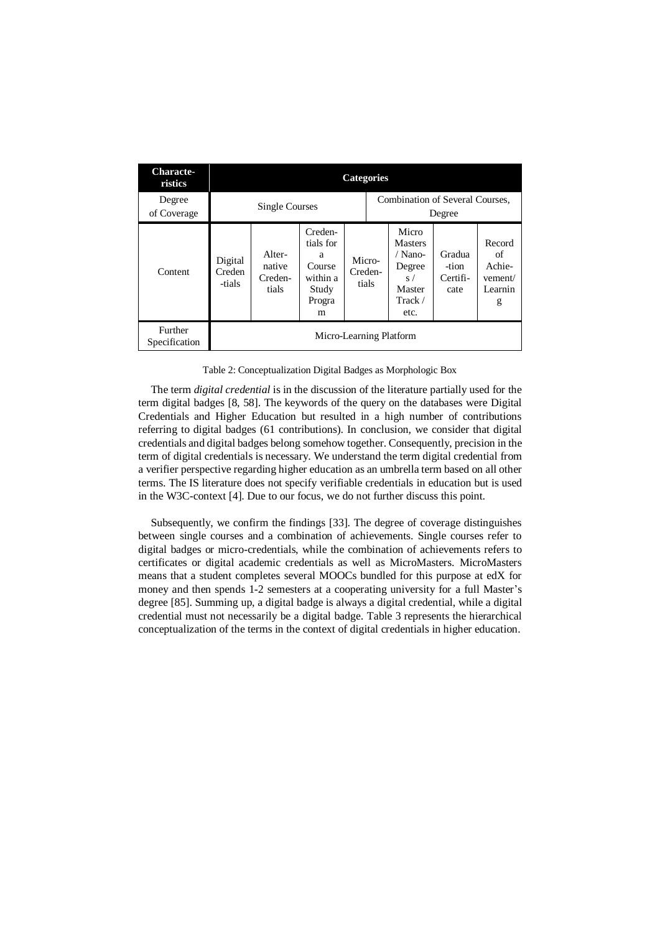| Characte-<br>ristics     | <b>Categories</b>           |                                      |                                                                         |  |                            |                                                                                          |                                     |                                                   |
|--------------------------|-----------------------------|--------------------------------------|-------------------------------------------------------------------------|--|----------------------------|------------------------------------------------------------------------------------------|-------------------------------------|---------------------------------------------------|
| Degree<br>of Coverage    | Single Courses              |                                      |                                                                         |  |                            | Combination of Several Courses.<br>Degree                                                |                                     |                                                   |
| Content                  | Digital<br>Creden<br>-tials | Alter-<br>native<br>Creden-<br>tials | Creden-<br>tials for<br>a<br>Course<br>within a<br>Study<br>Progra<br>m |  | Micro-<br>Creden-<br>tials | Micro<br><b>Masters</b><br>/ Nano-<br>Degree<br>S/<br>Master<br>$\text{Track} /$<br>etc. | Gradua<br>-tion<br>Certifi-<br>cate | Record<br>of<br>Achie-<br>vement/<br>Learnin<br>g |
| Further<br>Specification | Micro-Learning Platform     |                                      |                                                                         |  |                            |                                                                                          |                                     |                                                   |

Table 2: Conceptualization Digital Badges as Morphologic Box

The term *digital credential* is in the discussion of the literature partially used for the term digital badges [8, 58]. The keywords of the query on the databases were Digital Credentials and Higher Education but resulted in a high number of contributions referring to digital badges (61 contributions). In conclusion, we consider that digital credentials and digital badges belong somehow together. Consequently, precision in the term of digital credentials is necessary. We understand the term digital credential from a verifier perspective regarding higher education as an umbrella term based on all other terms. The IS literature does not specify verifiable credentials in education but is used in the W3C-context [4]. Due to our focus, we do not further discuss this point.

Subsequently, we confirm the findings [33]. The degree of coverage distinguishes between single courses and a combination of achievements. Single courses refer to digital badges or micro-credentials, while the combination of achievements refers to certificates or digital academic credentials as well as MicroMasters. MicroMasters means that a student completes several MOOCs bundled for this purpose at edX for money and then spends 1-2 semesters at a cooperating university for a full Master's degree [85]. Summing up, a digital badge is always a digital credential, while a digital credential must not necessarily be a digital badge. Table 3 represents the hierarchical conceptualization of the terms in the context of digital credentials in higher education.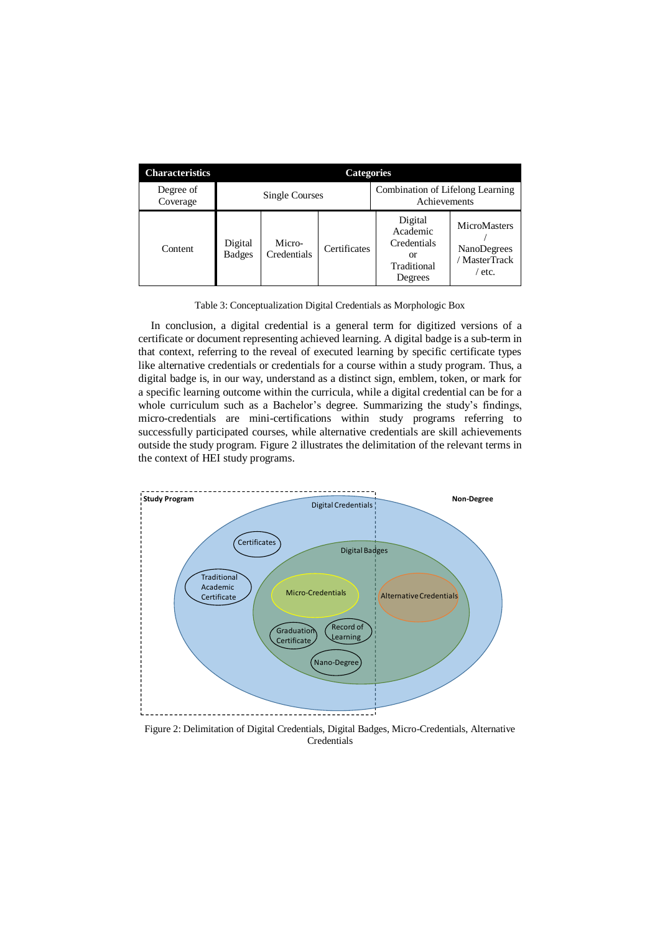| <b>Characteristics</b> | <b>Categories</b>                                                  |                       |              |                                                                    |                                                               |
|------------------------|--------------------------------------------------------------------|-----------------------|--------------|--------------------------------------------------------------------|---------------------------------------------------------------|
| Degree of<br>Coverage  | Combination of Lifelong Learning<br>Single Courses<br>Achievements |                       |              |                                                                    |                                                               |
| Content                | Digital<br><b>Badges</b>                                           | Micro-<br>Credentials | Certificates | Digital<br>Academic<br>Credentials<br>or<br>Traditional<br>Degrees | <b>MicroMasters</b><br>NanoDegrees<br>/ MasterTrack<br>/ etc. |

Table 3: Conceptualization Digital Credentials as Morphologic Box

In conclusion, a digital credential is a general term for digitized versions of a certificate or document representing achieved learning. A digital badge is a sub-term in that context, referring to the reveal of executed learning by specific certificate types like alternative credentials or credentials for a course within a study program. Thus, a digital badge is, in our way, understand as a distinct sign, emblem, token, or mark for a specific learning outcome within the curricula, while a digital credential can be for a whole curriculum such as a Bachelor's degree. Summarizing the study's findings, micro-credentials are mini-certifications within study programs referring to successfully participated courses, while alternative credentials are skill achievements outside the study program. Figure 2 illustrates the delimitation of the relevant terms in the context of HEI study programs.



Figure 2: Delimitation of Digital Credentials, Digital Badges, Micro-Credentials, Alternative **Credentials**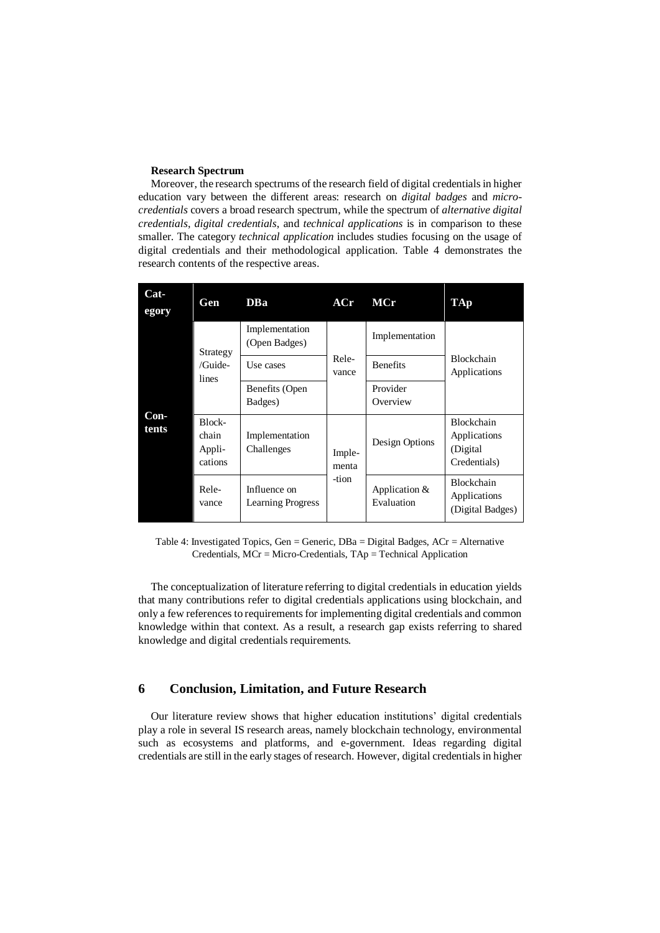## **Research Spectrum**

Moreover, the research spectrums of the research field of digital credentials in higher education vary between the different areas: research on *digital badges* and *microcredentials* covers a broad research spectrum, while the spectrum of *alternative digital credentials*, *digital credentials*, and *technical applications* is in comparison to these smaller. The category *technical application* includes studies focusing on the usage of digital credentials and their methodological application. Table 4 demonstrates the research contents of the respective areas.

| Cat-<br>egory | Gen                                  | DBa                                      | ACr             | MCr                         | <b>TAp</b>                                              |  |
|---------------|--------------------------------------|------------------------------------------|-----------------|-----------------------------|---------------------------------------------------------|--|
|               | Strategy                             | Implementation<br>(Open Badges)          |                 | Implementation              |                                                         |  |
|               | /Guide-<br>lines                     | Use cases                                | Rele-<br>vance  | <b>Benefits</b>             | <b>Blockchain</b><br>Applications                       |  |
| Con-<br>tents |                                      | Benefits (Open<br>Badges)                |                 | Provider<br>Overview        |                                                         |  |
|               | Block-<br>chain<br>Appli-<br>cations | Implementation<br>Challenges             | Imple-<br>menta | Design Options              | Blockchain<br>Applications<br>(Digital)<br>Credentials) |  |
|               | Rele-<br>vance                       | Influence on<br><b>Learning Progress</b> | -tion           | Application &<br>Evaluation | <b>Blockchain</b><br>Applications<br>(Digital Badges)   |  |

Table 4: Investigated Topics, Gen = Generic,  $DBa = Digital Badges$ ,  $ACr = Alternative$ Credentials, MCr = Micro-Credentials, TAp = Technical Application

The conceptualization of literature referring to digital credentials in education yields that many contributions refer to digital credentials applications using blockchain, and only a few references to requirements for implementing digital credentials and common knowledge within that context. As a result, a research gap exists referring to shared knowledge and digital credentials requirements.

## **6 Conclusion, Limitation, and Future Research**

Our literature review shows that higher education institutions' digital credentials play a role in several IS research areas, namely blockchain technology, environmental such as ecosystems and platforms, and e-government. Ideas regarding digital credentials are still in the early stages of research. However, digital credentials in higher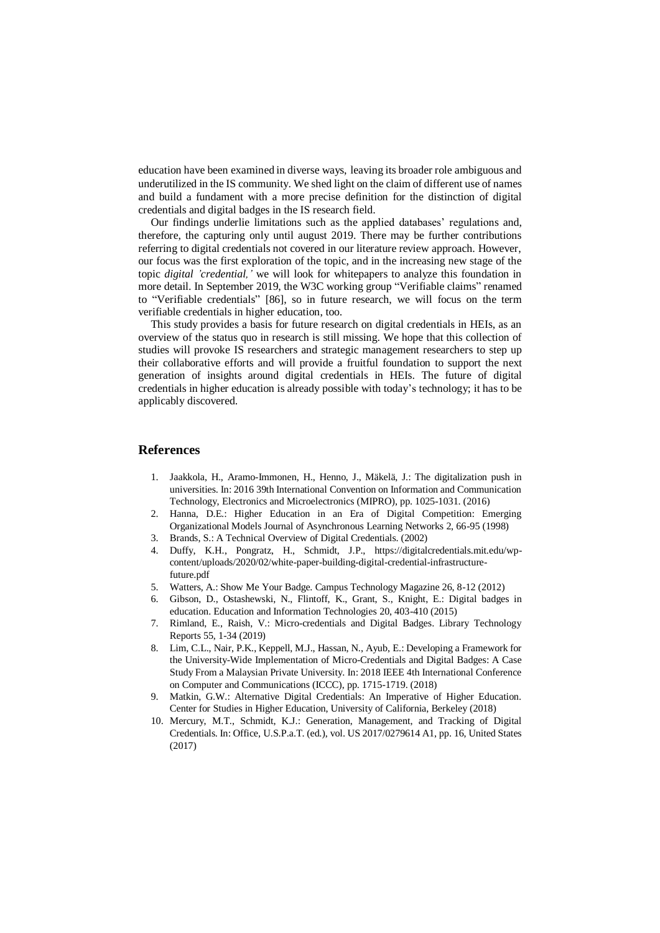education have been examined in diverse ways, leaving its broader role ambiguous and underutilized in the IS community. We shed light on the claim of different use of names and build a fundament with a more precise definition for the distinction of digital credentials and digital badges in the IS research field.

Our findings underlie limitations such as the applied databases' regulations and, therefore, the capturing only until august 2019. There may be further contributions referring to digital credentials not covered in our literature review approach. However, our focus was the first exploration of the topic, and in the increasing new stage of the topic *digital 'credential,'* we will look for whitepapers to analyze this foundation in more detail. In September 2019, the W3C working group "Verifiable claims" renamed to "Verifiable credentials" [86], so in future research, we will focus on the term verifiable credentials in higher education, too.

This study provides a basis for future research on digital credentials in HEIs, as an overview of the status quo in research is still missing. We hope that this collection of studies will provoke IS researchers and strategic management researchers to step up their collaborative efforts and will provide a fruitful foundation to support the next generation of insights around digital credentials in HEIs. The future of digital credentials in higher education is already possible with today's technology; it has to be applicably discovered.

### **References**

- 1. Jaakkola, H., Aramo-Immonen, H., Henno, J., Mäkelä, J.: The digitalization push in universities. In: 2016 39th International Convention on Information and Communication Technology, Electronics and Microelectronics (MIPRO), pp. 1025-1031. (2016)
- 2. Hanna, D.E.: Higher Education in an Era of Digital Competition: Emerging Organizational Models Journal of Asynchronous Learning Networks 2, 66-95 (1998)
- 3. Brands, S.: A Technical Overview of Digital Credentials. (2002)
- 4. Duffy, K.H., Pongratz, H., Schmidt, J.P., [https://digitalcredentials.mit.edu/wp](https://digitalcredentials.mit.edu/wp-content/uploads/2020/02/white-paper-building-digital-credential-infrastructure-future.pdf)[content/uploads/2020/02/white-paper-building-digital-credential-infrastructure](https://digitalcredentials.mit.edu/wp-content/uploads/2020/02/white-paper-building-digital-credential-infrastructure-future.pdf)[future.pdf](https://digitalcredentials.mit.edu/wp-content/uploads/2020/02/white-paper-building-digital-credential-infrastructure-future.pdf)
- 5. Watters, A.: Show Me Your Badge. Campus Technology Magazine 26, 8-12 (2012)
- 6. Gibson, D., Ostashewski, N., Flintoff, K., Grant, S., Knight, E.: Digital badges in education. Education and Information Technologies 20, 403-410 (2015)
- 7. Rimland, E., Raish, V.: Micro-credentials and Digital Badges. Library Technology Reports 55, 1-34 (2019)
- 8. Lim, C.L., Nair, P.K., Keppell, M.J., Hassan, N., Ayub, E.: Developing a Framework for the University-Wide Implementation of Micro-Credentials and Digital Badges: A Case Study From a Malaysian Private University. In: 2018 IEEE 4th International Conference on Computer and Communications (ICCC), pp. 1715-1719. (2018)
- 9. Matkin, G.W.: Alternative Digital Credentials: An Imperative of Higher Education. Center for Studies in Higher Education, University of California, Berkeley (2018)
- 10. Mercury, M.T., Schmidt, K.J.: Generation, Management, and Tracking of Digital Credentials. In: Office, U.S.P.a.T. (ed.), vol. US 2017/0279614 A1, pp. 16, United States (2017)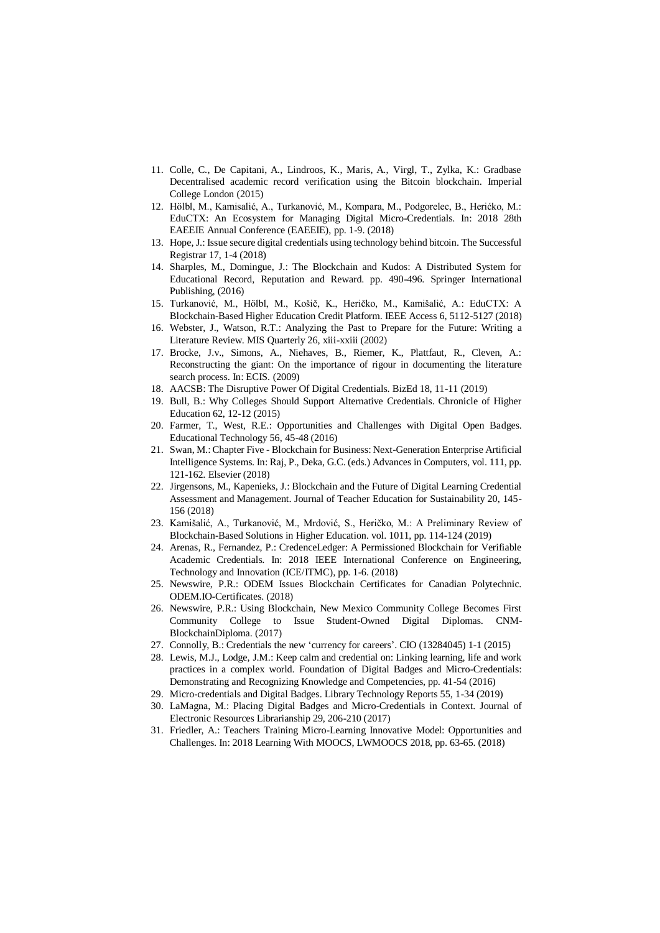- 11. Colle, C., De Capitani, A., Lindroos, K., Maris, A., Virgl, T., Zylka, K.: Gradbase Decentralised academic record verification using the Bitcoin blockchain. Imperial College London (2015)
- 12. Hölbl, M., Kamisalić, A., Turkanović, M., Kompara, M., Podgorelec, B., Herićko, M.: EduCTX: An Ecosystem for Managing Digital Micro-Credentials. In: 2018 28th EAEEIE Annual Conference (EAEEIE), pp. 1-9. (2018)
- 13. Hope, J.: Issue secure digital credentials using technology behind bitcoin. The Successful Registrar 17, 1-4 (2018)
- 14. Sharples, M., Domingue, J.: The Blockchain and Kudos: A Distributed System for Educational Record, Reputation and Reward. pp. 490-496. Springer International Publishing, (2016)
- 15. Turkanović, M., Hölbl, M., Košič, K., Heričko, M., Kamišalić, A.: EduCTX: A Blockchain-Based Higher Education Credit Platform. IEEE Access 6, 5112-5127 (2018)
- 16. Webster, J., Watson, R.T.: Analyzing the Past to Prepare for the Future: Writing a Literature Review. MIS Quarterly 26, xiii-xxiii (2002)
- 17. Brocke, J.v., Simons, A., Niehaves, B., Riemer, K., Plattfaut, R., Cleven, A.: Reconstructing the giant: On the importance of rigour in documenting the literature search process. In: ECIS. (2009)
- 18. AACSB: The Disruptive Power Of Digital Credentials. BizEd 18, 11-11 (2019)
- 19. Bull, B.: Why Colleges Should Support Alternative Credentials. Chronicle of Higher Education 62, 12-12 (2015)
- 20. Farmer, T., West, R.E.: Opportunities and Challenges with Digital Open Badges. Educational Technology 56, 45-48 (2016)
- 21. Swan, M.: Chapter Five Blockchain for Business: Next-Generation Enterprise Artificial Intelligence Systems. In: Raj, P., Deka, G.C. (eds.) Advances in Computers, vol. 111, pp. 121-162. Elsevier (2018)
- 22. Jirgensons, M., Kapenieks, J.: Blockchain and the Future of Digital Learning Credential Assessment and Management. Journal of Teacher Education for Sustainability 20, 145- 156 (2018)
- 23. Kamišalić, A., Turkanović, M., Mrdović, S., Heričko, M.: A Preliminary Review of Blockchain-Based Solutions in Higher Education. vol. 1011, pp. 114-124 (2019)
- 24. Arenas, R., Fernandez, P.: CredenceLedger: A Permissioned Blockchain for Verifiable Academic Credentials. In: 2018 IEEE International Conference on Engineering, Technology and Innovation (ICE/ITMC), pp. 1-6. (2018)
- 25. Newswire, P.R.: ODEM Issues Blockchain Certificates for Canadian Polytechnic. ODEM.IO-Certificates. (2018)
- 26. Newswire, P.R.: Using Blockchain, New Mexico Community College Becomes First Community College to Issue Student-Owned Digital Diplomas. CNM-BlockchainDiploma. (2017)
- 27. Connolly, B.: Credentials the new 'currency for careers'. CIO (13284045) 1-1 (2015)
- 28. Lewis, M.J., Lodge, J.M.: Keep calm and credential on: Linking learning, life and work practices in a complex world. Foundation of Digital Badges and Micro-Credentials: Demonstrating and Recognizing Knowledge and Competencies, pp. 41-54 (2016)
- 29. Micro-credentials and Digital Badges. Library Technology Reports 55, 1-34 (2019)
- 30. LaMagna, M.: Placing Digital Badges and Micro-Credentials in Context. Journal of Electronic Resources Librarianship 29, 206-210 (2017)
- 31. Friedler, A.: Teachers Training Micro-Learning Innovative Model: Opportunities and Challenges. In: 2018 Learning With MOOCS, LWMOOCS 2018, pp. 63-65. (2018)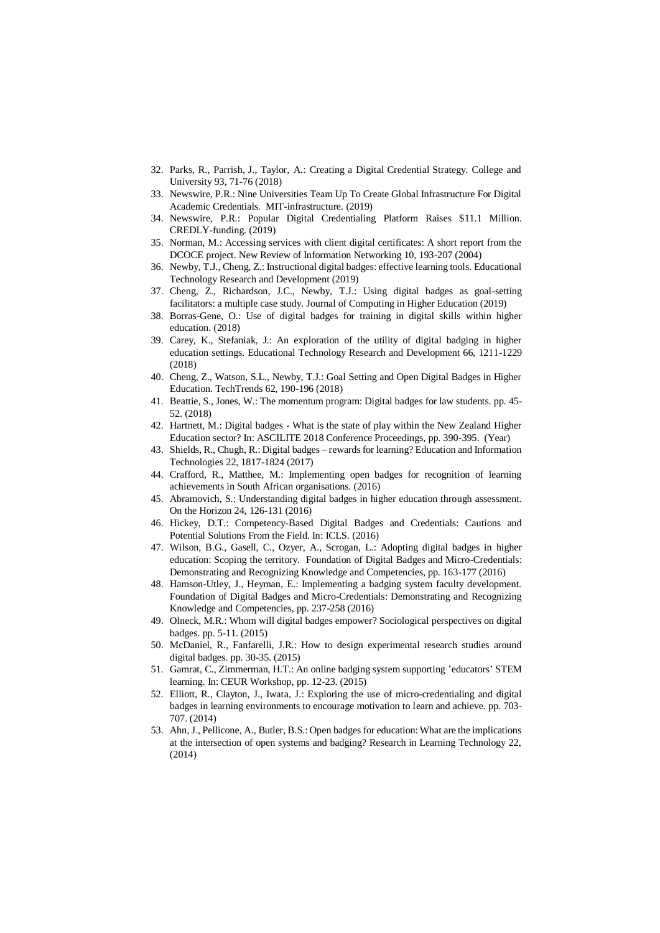- 32. Parks, R., Parrish, J., Taylor, A.: Creating a Digital Credential Strategy. College and University 93, 71-76 (2018)
- 33. Newswire, P.R.: Nine Universities Team Up To Create Global Infrastructure For Digital Academic Credentials. MIT-infrastructure. (2019)
- 34. Newswire, P.R.: Popular Digital Credentialing Platform Raises \$11.1 Million. CREDLY-funding. (2019)
- 35. Norman, M.: Accessing services with client digital certificates: A short report from the DCOCE project. New Review of Information Networking 10, 193-207 (2004)
- 36. Newby, T.J., Cheng, Z.: Instructional digital badges: effective learning tools. Educational Technology Research and Development (2019)
- 37. Cheng, Z., Richardson, J.C., Newby, T.J.: Using digital badges as goal-setting facilitators: a multiple case study. Journal of Computing in Higher Education (2019)
- 38. Borras-Gene, O.: Use of digital badges for training in digital skills within higher education. (2018)
- 39. Carey, K., Stefaniak, J.: An exploration of the utility of digital badging in higher education settings. Educational Technology Research and Development 66, 1211-1229 (2018)
- 40. Cheng, Z., Watson, S.L., Newby, T.J.: Goal Setting and Open Digital Badges in Higher Education. TechTrends 62, 190-196 (2018)
- 41. Beattie, S., Jones, W.: The momentum program: Digital badges for law students. pp. 45- 52. (2018)
- 42. Hartnett, M.: Digital badges What is the state of play within the New Zealand Higher Education sector? In: ASCILITE 2018 Conference Proceedings, pp. 390-395. (Year)
- 43. Shields, R., Chugh, R.: Digital badges rewards for learning? Education and Information Technologies 22, 1817-1824 (2017)
- 44. Crafford, R., Matthee, M.: Implementing open badges for recognition of learning achievements in South African organisations. (2016)
- 45. Abramovich, S.: Understanding digital badges in higher education through assessment. On the Horizon 24, 126-131 (2016)
- 46. Hickey, D.T.: Competency-Based Digital Badges and Credentials: Cautions and Potential Solutions From the Field. In: ICLS. (2016)
- 47. Wilson, B.G., Gasell, C., Ozyer, A., Scrogan, L.: Adopting digital badges in higher education: Scoping the territory. Foundation of Digital Badges and Micro-Credentials: Demonstrating and Recognizing Knowledge and Competencies, pp. 163-177 (2016)
- 48. Hamson-Utley, J., Heyman, E.: Implementing a badging system faculty development. Foundation of Digital Badges and Micro-Credentials: Demonstrating and Recognizing Knowledge and Competencies, pp. 237-258 (2016)
- 49. Olneck, M.R.: Whom will digital badges empower? Sociological perspectives on digital badges. pp. 5-11. (2015)
- 50. McDaniel, R., Fanfarelli, J.R.: How to design experimental research studies around digital badges. pp. 30-35. (2015)
- 51. Gamrat, C., Zimmerman, H.T.: An online badging system supporting 'educators' STEM learning. In: CEUR Workshop, pp. 12-23. (2015)
- 52. Elliott, R., Clayton, J., Iwata, J.: Exploring the use of micro-credentialing and digital badges in learning environments to encourage motivation to learn and achieve. pp. 703- 707. (2014)
- 53. Ahn, J., Pellicone, A., Butler, B.S.: Open badges for education: What are the implications at the intersection of open systems and badging? Research in Learning Technology 22, (2014)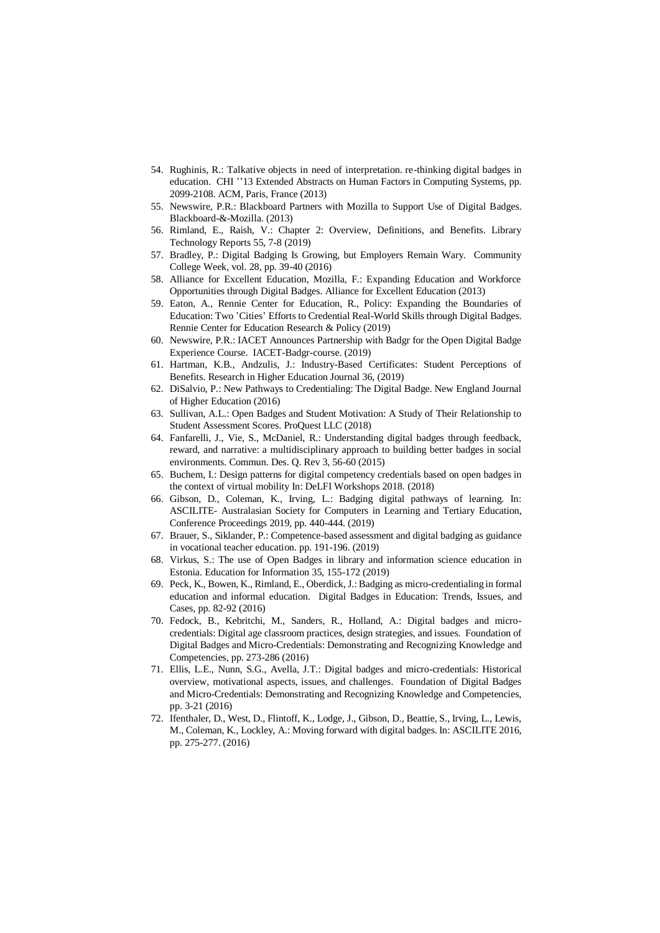- 54. Rughinis, R.: Talkative objects in need of interpretation. re-thinking digital badges in education. CHI ''13 Extended Abstracts on Human Factors in Computing Systems, pp. 2099-2108. ACM, Paris, France (2013)
- 55. Newswire, P.R.: Blackboard Partners with Mozilla to Support Use of Digital Badges. Blackboard-&-Mozilla. (2013)
- 56. Rimland, E., Raish, V.: Chapter 2: Overview, Definitions, and Benefits. Library Technology Reports 55, 7-8 (2019)
- 57. Bradley, P.: Digital Badging Is Growing, but Employers Remain Wary. Community College Week, vol. 28, pp. 39-40 (2016)
- 58. Alliance for Excellent Education, Mozilla, F.: Expanding Education and Workforce Opportunities through Digital Badges. Alliance for Excellent Education (2013)
- 59. Eaton, A., Rennie Center for Education, R., Policy: Expanding the Boundaries of Education: Two 'Cities' Efforts to Credential Real-World Skills through Digital Badges. Rennie Center for Education Research & Policy (2019)
- 60. Newswire, P.R.: IACET Announces Partnership with Badgr for the Open Digital Badge Experience Course. IACET-Badgr-course. (2019)
- 61. Hartman, K.B., Andzulis, J.: Industry-Based Certificates: Student Perceptions of Benefits. Research in Higher Education Journal 36, (2019)
- 62. DiSalvio, P.: New Pathways to Credentialing: The Digital Badge. New England Journal of Higher Education (2016)
- 63. Sullivan, A.L.: Open Badges and Student Motivation: A Study of Their Relationship to Student Assessment Scores. ProQuest LLC (2018)
- 64. Fanfarelli, J., Vie, S., McDaniel, R.: Understanding digital badges through feedback, reward, and narrative: a multidisciplinary approach to building better badges in social environments. Commun. Des. Q. Rev 3, 56-60 (2015)
- 65. Buchem, I.: Design patterns for digital competency credentials based on open badges in the context of virtual mobility In: DeLFI Workshops 2018. (2018)
- 66. Gibson, D., Coleman, K., Irving, L.: Badging digital pathways of learning. In: ASCILITE- Australasian Society for Computers in Learning and Tertiary Education, Conference Proceedings 2019, pp. 440-444. (2019)
- 67. Brauer, S., Siklander, P.: Competence-based assessment and digital badging as guidance in vocational teacher education. pp. 191-196. (2019)
- 68. Virkus, S.: The use of Open Badges in library and information science education in Estonia. Education for Information 35, 155-172 (2019)
- 69. Peck, K., Bowen, K., Rimland, E., Oberdick, J.: Badging as micro-credentialing in formal education and informal education. Digital Badges in Education: Trends, Issues, and Cases, pp. 82-92 (2016)
- 70. Fedock, B., Kebritchi, M., Sanders, R., Holland, A.: Digital badges and microcredentials: Digital age classroom practices, design strategies, and issues. Foundation of Digital Badges and Micro-Credentials: Demonstrating and Recognizing Knowledge and Competencies, pp. 273-286 (2016)
- 71. Ellis, L.E., Nunn, S.G., Avella, J.T.: Digital badges and micro-credentials: Historical overview, motivational aspects, issues, and challenges. Foundation of Digital Badges and Micro-Credentials: Demonstrating and Recognizing Knowledge and Competencies, pp. 3-21 (2016)
- 72. Ifenthaler, D., West, D., Flintoff, K., Lodge, J., Gibson, D., Beattie, S., Irving, L., Lewis, M., Coleman, K., Lockley, A.: Moving forward with digital badges. In: ASCILITE 2016, pp. 275-277. (2016)